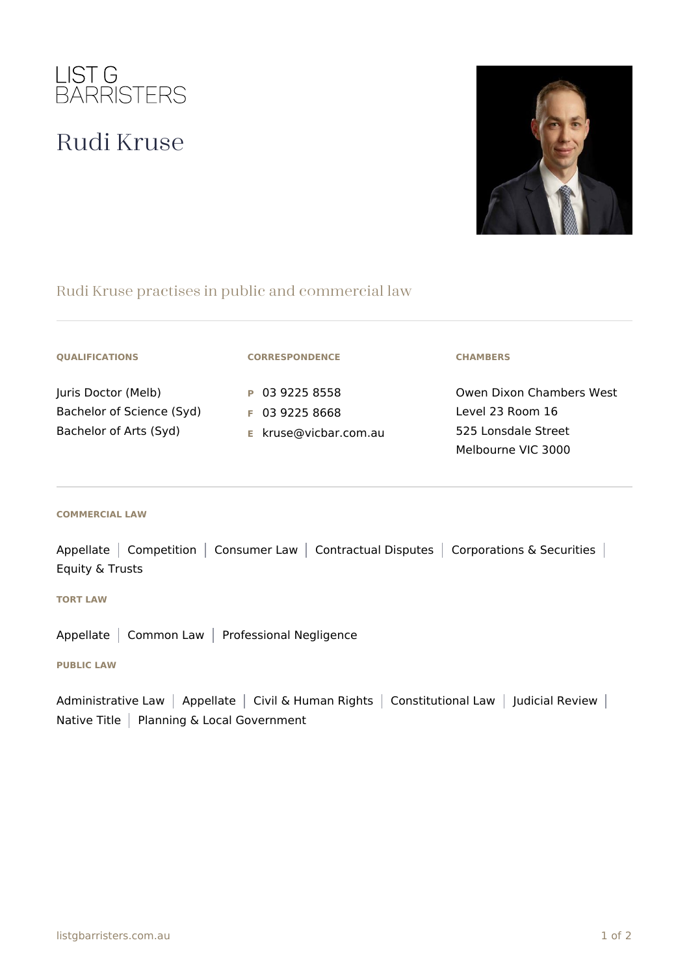

# Rudi Kruse



## Rudi Kruse practises in public and commercial law

|  |  | <b>QUALIFICATIONS</b> |
|--|--|-----------------------|
|  |  |                       |

Juris Doctor (Melb) Bachelor of Science (Syd) Bachelor of Arts (Syd)

#### **CORRESPONDENCE**

**P** 03 9225 8558 **F** 03 9225 8668 **E** kruse@vicbar.com.au

### **CHAMBERS**

Owen Dixon Chambers West Level 23 Room 16 525 Lonsdale Street Melbourne VIC 3000

#### **COMMERCIAL LAW**

Appellate | Competition | Consumer Law | Contractual Disputes | Corporations & Securities | Equity & Trusts

#### **TORT LAW**

Appellate | Common Law | Professional Negligence

#### **PUBLIC LAW**

Administrative Law | Appellate | Civil & Human Rights | Constitutional Law | Judicial Review | Native Title | Planning & Local Government